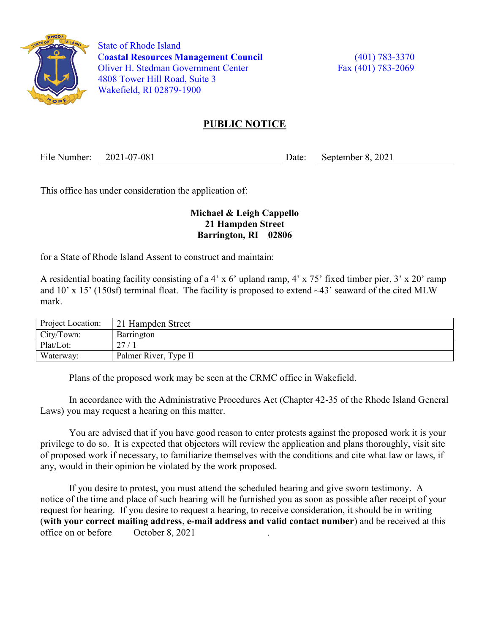

 State of Rhode Island Coastal Resources Management Council (401) 783-3370 Oliver H. Stedman Government Center Fax (401) 783-2069 4808 Tower Hill Road, Suite 3 Wakefield, RI 02879-1900

## PUBLIC NOTICE

File Number: 2021-07-081 Date: September 8, 2021

This office has under consideration the application of:

## Michael & Leigh Cappello 21 Hampden Street Barrington, RI 02806

for a State of Rhode Island Assent to construct and maintain:

A residential boating facility consisting of a 4' x 6' upland ramp, 4' x 75' fixed timber pier, 3' x 20' ramp and 10' x 15' (150sf) terminal float. The facility is proposed to extend ~43' seaward of the cited MLW mark.

| Project Location: | 21 Hampden Street     |
|-------------------|-----------------------|
| City/Town:        | Barrington            |
| Plat/Lot:         | 27.                   |
| Waterway:         | Palmer River, Type II |

Plans of the proposed work may be seen at the CRMC office in Wakefield.

In accordance with the Administrative Procedures Act (Chapter 42-35 of the Rhode Island General Laws) you may request a hearing on this matter.

You are advised that if you have good reason to enter protests against the proposed work it is your privilege to do so. It is expected that objectors will review the application and plans thoroughly, visit site of proposed work if necessary, to familiarize themselves with the conditions and cite what law or laws, if any, would in their opinion be violated by the work proposed.

If you desire to protest, you must attend the scheduled hearing and give sworn testimony. A notice of the time and place of such hearing will be furnished you as soon as possible after receipt of your request for hearing. If you desire to request a hearing, to receive consideration, it should be in writing (with your correct mailing address, e-mail address and valid contact number) and be received at this office on or before <u>October 8, 2021</u>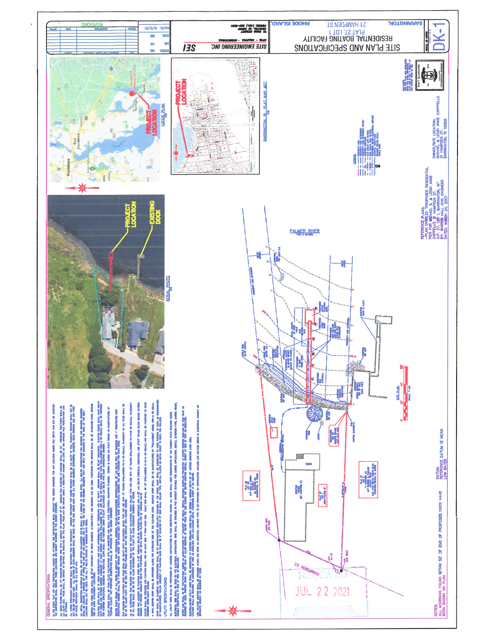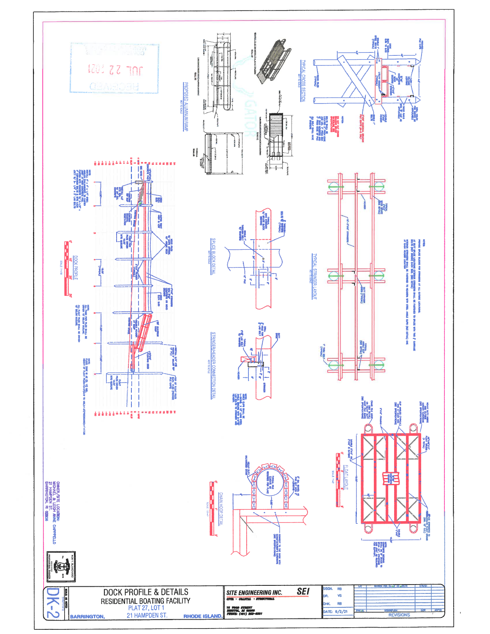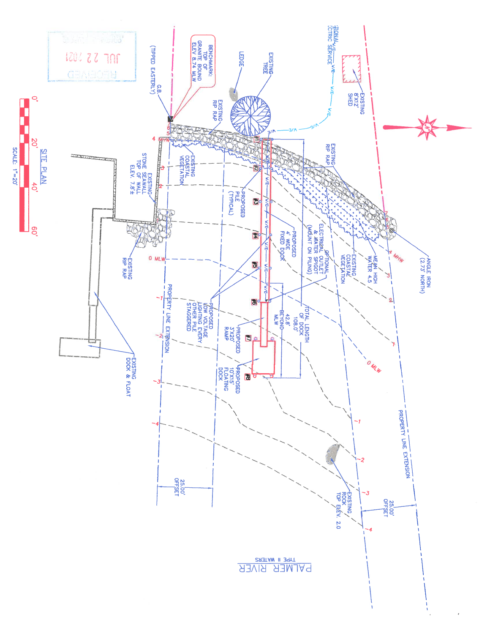